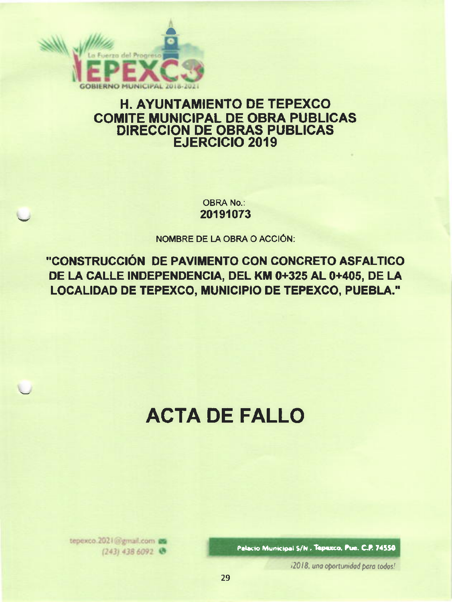

## **H. AYUNTAMIENTO DE TEPEXCO COMITE MUNICIPAL DE OBRA PUBLICAS DIRECCION DE OBRAS PUBLICAS EJERCICIO 2019**

**OBRA No.:** 20191073

NOMBRE DE LA OBRA O ACCIÓN:

"CONSTRUCCIÓN DE PAVIMENTO CON CONCRETO ASFALTICO DE LA CALLE INDEPENDENCIA, DEL KM 0+325 AL 0+405, DE LA LOCALIDAD DE TEPEXCO, MUNICIPIO DE TEPEXCO, PUEBLA."

# **ACTA DE FALLO**

Palacio Municipal S/N., Tepexco, Pue. C.P. 74550

12018, una oportunidad para todos!

tepexco.2021@gmail.com (243) 438 6092 @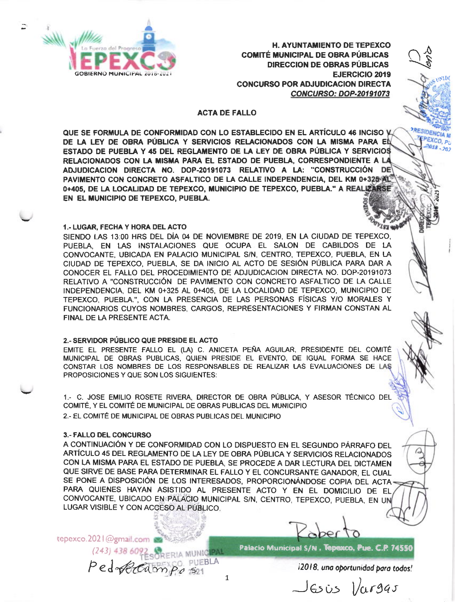

**H. AYUNTAMIENTO DE TEPEXCO COMITÉ MUNICIPAL DE OBRA PÚBLICAS DIRECCION DE OBRAS PÚBLICAS EJERCICIO 2019 CONCURSO POR ADJUDICACION DIRECTA CONCURSO: DOP-20191073** 

**RESIDENCIA M** 

FPEXCO, PU

 $-2018 - 202$ 

### **ACTA DE FALLO**

QUE SE FORMULA DE CONFORMIDAD CON LO ESTABLECIDO EN EL ARTÍCULO 46 INCISO V. DE LA LEY DE OBRA PÚBLICA Y SERVICIOS RELACIONADOS CON LA MISMA PARA EL ESTADO DE PUEBLA Y 45 DEL REGLAMENTO DE LA LEY DE OBRA PÚBLICA Y SERVICIOS RELACIONADOS CON LA MISMA PARA EL ESTADO DE PUEBLA, CORRESPONDIENTE A LA ADJUDICACION DIRECTA NO. DOP-20191073 RELATIVO A LA: "CONSTRUCCIÓN DE PAVIMENTO CON CONCRETO ASFALTICO DE LA CALLE INDEPENDENCIA, DEL KM 0+325-AL 0+405. DE LA LOCALIDAD DE TEPEXCO. MUNICIPIO DE TEPEXCO, PUEBLA." A REALIZARSE EN EL MUNICIPIO DE TEPEXCO, PUEBLA.

#### 1.- LUGAR, FECHA Y HORA DEL ACTO

SIENDO LAS 13:00 HRS DEL DÍA 04 DE NOVIEMBRE DE 2019, EN LA CIUDAD DE TEPEXCO, PUEBLA, EN LAS INSTALACIONES QUE OCUPA EL SALON DE CABILDOS DE LA CONVOCANTE, UBICADA EN PALACIO MUNICIPAL S/N, CENTRO, TEPEXCO, PUEBLA, EN LA CIUDAD DE TEPEXCO, PUEBLA, SE DA INICIO AL ACTO DE SESIÓN PÚBLICA PARA DAR A CONOCER EL FALLO DEL PROCEDIMIENTO DE ADJUDICACION DIRECTA NO. DOP-20191073 RELATIVO A "CONSTRUCCIÓN DE PAVIMENTO CON CONCRETO ASFALTICO DE LA CALLE INDEPENDENCIA. DEL KM 0+325 AL 0+405. DE LA LOCALIDAD DE TEPEXCO, MUNICIPIO DE TEPEXCO, PUEBLA.", CON LA PRESENCIA DE LAS PERSONAS FÍSICAS Y/O MORALES Y FUNCIONARIOS CUYOS NOMBRES, CARGOS, REPRESENTACIONES Y FIRMAN CONSTAN AL FINAL DE LA PRESENTE ACTA.

#### 2.- SERVIDOR PÚBLICO QUE PRESIDE EL ACTO

EMITE EL PRESENTE FALLO EL (LA) C. ANICETA PEÑA AGUILAR, PRESIDENTE DEL COMITÉ MUNICIPAL DE OBRAS PUBLICAS, QUIEN PRESIDE EL EVENTO, DE IGUAL FORMA SE HACE CONSTAR LOS NOMBRES DE LOS RESPONSABLES DE REALIZAR LAS EVALUACIONES DE LAS PROPOSICIONES Y QUE SON LOS SIGUIENTES:

1.- C. JOSE EMILIO ROSETE RIVERA, DIRECTOR DE OBRA PÚBLICA, Y ASESOR TÉCNICO DEL COMITÉ, Y EL COMITÉ DE MUNICIPAL DE OBRAS PUBLICAS DEL MUNICIPIO 2.- EL COMITÉ DE MUNICIPAL DE OBRAS PUBLICAS DEL MUNICIPIO

#### **3.- FALLO DEL CONCURSO**

A CONTINUACIÓN Y DE CONFORMIDAD CON LO DISPUESTO EN EL SEGUNDO PÁRRAFO DEL ARTÍCULO 45 DEL REGLAMENTO DE LA LEY DE OBRA PÚBLICA Y SERVICIOS RELACIONADOS CON LA MISMA PARA EL ESTADO DE PUEBLA, SE PROCEDE A DAR LECTURA DEL DICTAMEN QUE SIRVE DE BASE PARA DETERMINAR EL FALLO Y EL CONCURSANTE GANADOR, EL CUAL SE PONE A DISPOSICIÓN DE LOS INTERESADOS, PROPORCIONÁNDOSE COPIA DEL ACTA-PARA QUIENES HAYAN ASISTIDO AL PRESENTE ACTO Y EN EL DOMICILIO DE EL CONVOCANTE, UBICADO EN PALACIO MUNICIPAL S/N, CENTRO, TEPEXCO, PUEBLA, EN UN LUGAR VISIBLE Y CON ACCESO AL PÚBLICO.

tepexco.2021@gmail.com

(243) 438 6092 SORERIA MUNICIPALA

Palacio Municipal S/N, Tepexco, Pue. C.P. 74550

i2018, una oportunidad para todos!

 $J$ Esis  $|/argas$ 

 $\mathbf 1$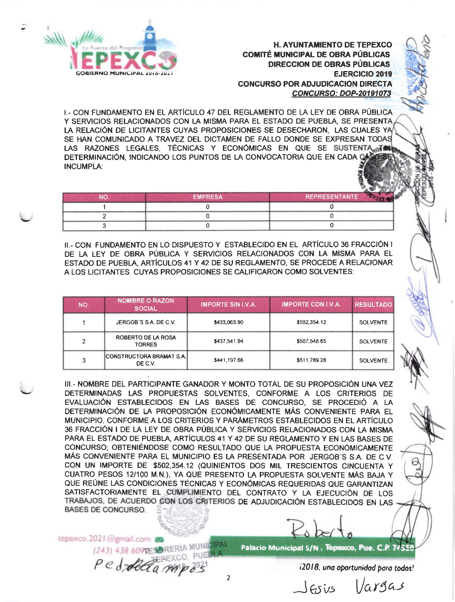

**COMITÉ MUNICIPAL DE OBRA PÚBLICAS** DIRECCION DE OBRAS PÚBLICAS **EJERCICIO 2019** GONCURSO POR ADJUDICACION DIRECTA **CONCURSO: DOP-20191073** 

I,- CON FUNDAMENTO EN EL ARTÍCULO 47 DEL REGLAMENTO DE LA LEY DE OBRA PÚBLICA Y SERVICIOS RELACIONADOS CON LA MISMA PARA EL ESTADO DE PUEBLA, SE PRESENTA LA RELACIÓN OE LICITANTES CUYAS PROPOSICIONES SE DESECHARON, LAS CUALES Y SE HAN COMUNICADO A TRAVEZ DEL DICTAMEN DE FALLO DONDE SE EXPRESAN TODAS LAS RAZONES LEGALES, TÉCNICAS Y ECONÓMICAS EN QUE SE SUSTENTA OF DETERMINACIÓN, INDICANDO LOS PUNTOS DE LA CONVOCATORIA QUE EN CADA CA INCUMPLA:

| הוח | EMPRESA | <b>REPRESENTANTE</b> |
|-----|---------|----------------------|
|     |         |                      |
|     |         |                      |
|     |         |                      |

II,. CON FUNDAMENTO EN LO OISPUESTO Y ESTABLECIDO EN EL ARTICULO 36 FRACCIÓN <sup>I</sup> DE LA LEY DE OBRA PÚBLICA Y SERVICIOS RELACIONADOS CON LA MISMA PARA EL ESTADO DE PUEBLA, ARTICULOS 41 Y 42 DE SU REGLAMENTO, SE PROCEDE A RELACIONAR A LOS LICITANTES CUYAS PROPOSICIONES SE CALIFICARON COMO SOLVENTES:

| NO. | <b>NOMBRE O RAZON</b><br><b>SOCIAL</b> | <b>IMPORTE SIN I.V.A.</b> | <b>IMPORTE CON I.V.A.</b> | <b>RESULTADO</b> |
|-----|----------------------------------------|---------------------------|---------------------------|------------------|
|     | JERGOB'S S.A. DE C.V.                  | \$433,063.90              | \$502.354.12              | <b>SOLVENTE</b>  |
| 2   | ROBERTO DE LA ROSA<br><b>TORRES</b>    | \$437.541.94              | \$507.548.65              | SOLVENTE         |
| 3   | CONSTRUCTORA BRAMAT S.A. <br>DE C.V.   | \$441,197,66              | \$511,789.28              | <b>SOLVENTE</b>  |

III,- NOMBRE DEL PARTICIPANTE GANADOR Y MONTO TOTAL DE SU PROPOSICIÓN UNA VEZ DETERMINADAS TAS PROPUESTAS SOLVENTES, CONFORME A LOS CRITERIOS DE EVALUACIÓN ESTABLECIDOS EN LAS BASES DE CONCURSO, SE PROCEDIÓ A LA DETERMINACIÓN DE LA PROPOSICIÓN ECONÓMICAMENTE MÁS CONVENIENTE PARA EL MUNICIPIO, CONFORME A LOS CRITERIOS Y PARAMETROS ESTABLECIDOS EN EL ARTíCULO 36 FRACCIÓN I DE tA LEY DE OBRA PÚBLICA Y SERVICIOS RELACIONADOS CON LA MISMA PARA EL ESTADO DE PUEBLA, ARTÍCULOS 41 Y 42 DE SU REGLAMENTO Y EN LAS BASES DE CONCURSO; OBTENIÉNDOSE COMO RESULTADO QUE LA PROPUESTA ECONÓMICAMENTE MAS CoNVENIENTE PARA EL MUNICIPIo ES LA PRESENTADA PoR JERGoB'S S.A. DE C.VcoN uN TMPoRTE DE \$502,354.12 (QU|N|ENTOS OOS MtL TRESCTENTOS CTNCUENTA y CUATRO PESOS 12l1OO M.N.), YA QUE PRESENTO LA PROPUESTA SOLVENTE MAS BAJA Y QUE REÚNE LAS CONDICIONES TECNICAS Y ECONÓMICAS REQUERIDAS QUE GARANTIZAN SATISFACTORIAMENTE EL CUMPLIMIENTO DEL CONTRATO Y LA EJECUCIÓN DE LOS TRABAJOS, DE ACUERDO CON LOS CRITERIOS DE ADJUDICACIÓN ESTABLECIDOS EN LAS **BASES DE CONCURSO.** 

tepexco.2021@gmail.com

(243) 438 6097ESDRERIA MUNICIPAL

Patacio Municipal S/N , Tepexco, Pue. C.P. 7455

i2018. uno oprtunidod poro todos!

Jesis Vargas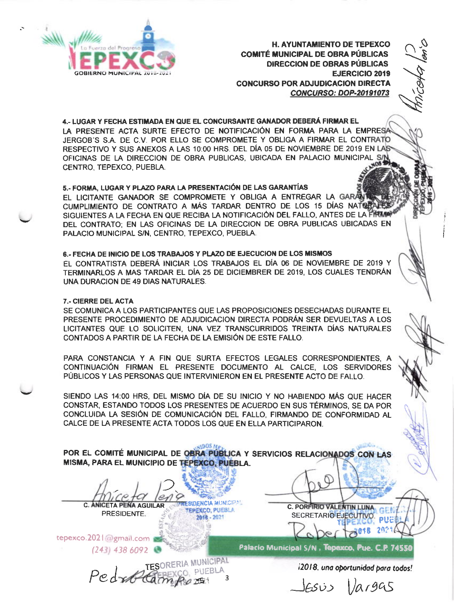

**H. AYUNTAMIENTO DE TEPEXCO COMITÉ MUNICIPAL DE OBRA PÚBLICAS** DIRECCION DE OBRAS PÚBLICAS **EJERCICIO 2019 CONCURSO POR ADJUDICACION DIRECTA CONCURSO: DOP-20191073** 

4.- LUGAR Y FECHA ESTIMADA EN QUE EL CONCURSANTE GANADOR DEBERÁ FIRMAR EL LA PRESENTE ACTA SURTE EFECTO DE NOTIFICACIÓN EN FORMA PARA LA EMPRESA JERGOB'S S.A. DE C.V. POR ELLO SE COMPROMETE Y OBLIGA A FIRMAR EL CONTRATO RESPECTIVO Y SUS ANEXOS A LAS 10:00 HRS. DEL DÍA 05 DE NOVIEMBRE DE 2019 EN LAS RESPECTIVO T SUS AINEAUS A LAU 1999 HING. LES SANT SUS SANTO MUNICIPAL S/N.<br>OFICINAS DE LA DIRECCION DE OBRA PUBLICAS, UBICADA EN PALACIO MUNICIPAL S/N. CENTRO, TEPEXCO, PUEBLA.

### 5.- FORMA, LUGAR Y PLAZO PARA LA PRESENTACIÓN DE LAS GARANTÍAS

EL LICITANTE GANADOR SE COMPROMETE Y OBLIGA A ENTREGAR LA GARANT CUMPLIMIENTO DE CONTRATO A MÁS TARDAR DENTRO DE LOS 15 DÍAS NATURALES SIGUIENTES A LA FECHA EN QUE RECIBA LA NOTIFICACIÓN DEL FALLO, ANTES DE LA FIRMANTE DEL CONTRATO; EN LAS OFICINAS DE LA DIRECCION DE OBRA PUBLICAS UBICADAS EN PALACIO MUNICIPAL S/N, CENTRO, TEPEXCO, PUEBLA.

#### 6.- FECHA DE INICIO DE LOS TRABAJOS Y PLAZO DE EJECUCIÓN DE LOS MISMOS

EL CONTRATISTA DEBERÁ INICIAR LOS TRABAJOS EL DÍA 06 DE NOVIEMBRE DE 2019 Y TERMINARLOS A MAS TARDAR EL DÍA 25 DE DICIEMBRER DE 2019, LOS CUALES TENDRÁN UNA DURACION DE 49 DIAS NATURALES.

#### 7.- CIERRE DEL ACTA

SE COMUNICA A LOS PARTICIPANTES QUE LAS PROPOSICIONES DESECHADAS DURANTE EL PRESENTE PROCEDIMIENTO DE ADJUDICACIÓN DIRECTA PODRÁN SER DEVUELTAS A LOS LICITANTES QUE LO SOLICITEN, UNA VEZ TRANSCURRIDOS TREINTA DÍAS NATURALES CONTADOS A PARTIR DE LA FECHA DE LA EMISIÓN DE ESTE FALLO.

PARA CONSTANCIA Y A FIN QUE SURTA EFECTOS LEGALES CORRESPONDIENTES, A CONTINUACIÓN FIRMAN EL PRESENTE DOCUMENTO AL CALCE, LOS SERVIDORES PÚBLICOS Y LAS PERSONAS QUE INTERVINIERON EN EL PRESENTE ACTO DE FALLO.

SIENDO LAS 14:00 HRS, DEL MISMO DÍA DE SU INICIO Y NO HABIENDO MÁS QUE HACER CONSTAR, ESTANDO TODOS LOS PRESENTES DE ACUERDO EN SUS TÉRMINOS. SE DA POR CONCLUIDA LA SESIÓN DE COMUNICACIÓN DEL FALLO, FIRMANDO DE CONFORMIDAD AL CALCE DE LA PRESENTE ACTA TODOS LOS QUE EN ELLA PARTICIPARON.

**ALDOS A** POR EL COMITÉ MUNICIPAL DE OBRA PÚBLICA Y SERVICIOS RELACIONADOS CON LAS MISMA, PARA EL MUNICIPIO DE TEPEXCO, PUEBLA.

 $2018 - 2021$ 

**TESIDENCIA MUNICIPAL C. ANICETA PENA AGUILAR** TEPEXCO, PUEBLA PRESIDENTE.

tepexco.2021 algmail.com

 $(243)$  438 6092

Palacio Municipal S/N, Tepexco, Pue. C.P. 74550

C. PORFIRIO VALENTIN LUNA

SECRETARIO EJECUTIVO.

PedroCamps NUNICIPAL

i2018, una oportunidad para todos!

 $les$ is |argas

**PUE!** 202